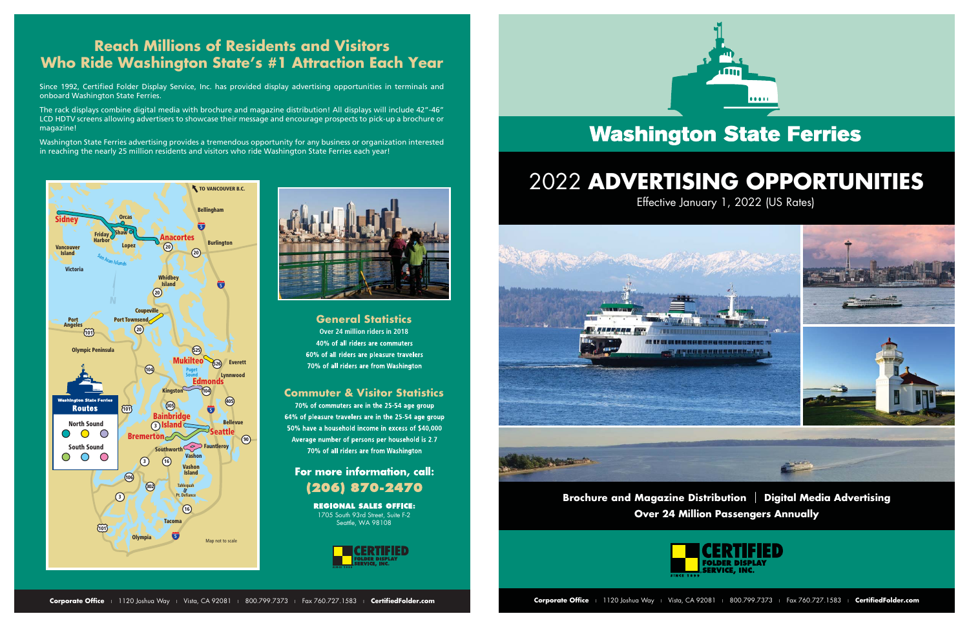## **Reach Millions of Residents and Visitors Who Ride Washington State's #1 Attraction Each Year**

Since 1992, Certified Folder Display Service, Inc. has provided display advertising opportunities in terminals and onboard Washington State Ferries.

The rack displays combine digital media with brochure and magazine distribution! All displays will include 42"-46" LCD HDTV screens allowing advertisers to showcase their message and encourage prospects to pick-up a brochure or magazine!

Washington State Ferries advertising provides a tremendous opportunity for any business or organization interested in reaching the nearly 25 million residents and visitors who ride Washington State Ferries each year!

> **Over 24 million riders in 2018** 40% of all riders are commuters 60% of all riders are pleasure travelers 70% of all riders are from Washington

**REGIONAL SALES OFFICE:** 1705 South 93rd Street, Suite F-2 Seattle, WA 98108



# **Washington State Ferries**





#### **General Statistics**

#### **Commuter & Visitor Statistics**

70% of commuters are in the 25-54 age group 64% of pleasure travelers are in the 25-54 age group 50% have a household income in excess of \$40,000 Average number of persons per household is 2.7 70% of all riders are from Washington

### For more information, call: (206) 870-2470

**Brochure and Magazine Distribution** | **Digital Media Advertising Over 24 Million Passengers Annually**





# Effective January 1, 2022 (US Rates) 2022 **ADVERTISING OPPORTUNITIES**